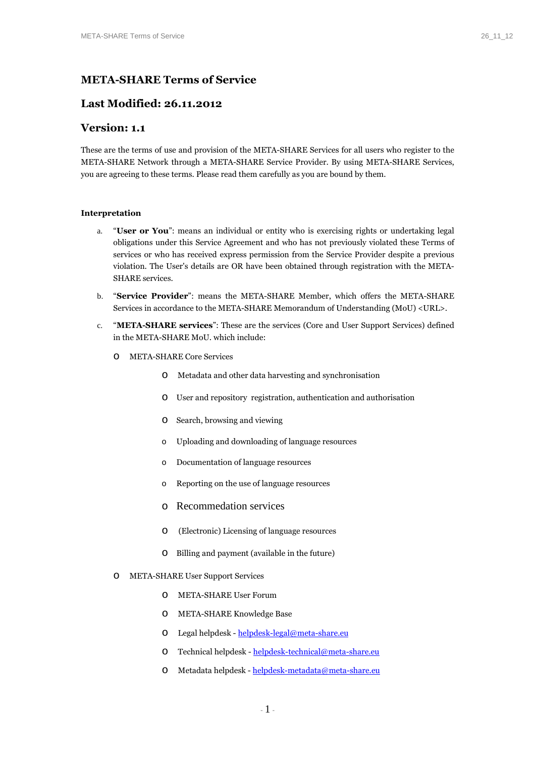# **META-SHARE Terms of Service**

## **Last Modified: 26.11.2012**

## **Version: 1.1**

These are the terms of use and provision of the META-SHARE Services for all users who register to the META-SHARE Network through a META-SHARE Service Provider. By using META-SHARE Services, you are agreeing to these terms. Please read them carefully as you are bound by them.

## **Interpretation**

- a. "**User or You**": means an individual or entity who is exercising rights or undertaking legal obligations under this Service Agreement and who has not previously violated these Terms of services or who has received express permission from the Service Provider despite a previous violation. The User's details are OR have been obtained through registration with the META-SHARE services.
- b. "**Service Provider**": means the META-SHARE Member, which offers the META-SHARE Services in accordance to the META-SHARE Memorandum of Understanding (MoU) <URL>.
- c. "**META-SHARE services**": These are the services (Core and User Support Services) defined in the META-SHARE MoU. which include:
	- o META-SHARE Core Services
		- o Metadata and other data harvesting and synchronisation
		- o User and repository registration, authentication and authorisation
		- o Search, browsing and viewing
		- o Uploading and downloading of language resources
		- o Documentation of language resources
		- o Reporting on the use of language resources
		- o Recommedation services
		- o (Electronic) Licensing of language resources
		- o Billing and payment (available in the future)
	- o META-SHARE User Support Services
		- o META-SHARE User Forum
		- o META-SHARE Knowledge Base
		- o Legal helpdesk helpdesk-legal@meta-share.eu
		- o Technical helpdesk helpdesk-technical@meta-share.eu
		- o Metadata helpdesk helpdesk-metadata@meta-share.eu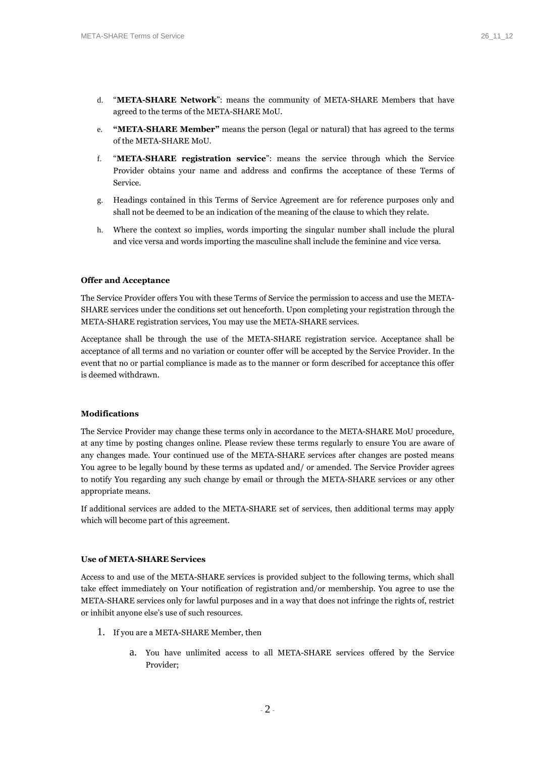- d. "**META-SHARE Network**": means the community of META-SHARE Members that have agreed to the terms of the META-SHARE MoU.
- e. **"META-SHARE Member"** means the person (legal or natural) that has agreed to the terms of the META-SHARE MoU.
- f. "**META-SHARE registration service**": means the service through which the Service Provider obtains your name and address and confirms the acceptance of these Terms of Service.
- g. Headings contained in this Terms of Service Agreement are for reference purposes only and shall not be deemed to be an indication of the meaning of the clause to which they relate.
- h. Where the context so implies, words importing the singular number shall include the plural and vice versa and words importing the masculine shall include the feminine and vice versa.

#### **Offer and Acceptance**

The Service Provider offers You with these Terms of Service the permission to access and use the META-SHARE services under the conditions set out henceforth. Upon completing your registration through the META-SHARE registration services, You may use the META-SHARE services.

Acceptance shall be through the use of the META-SHARE registration service. Acceptance shall be acceptance of all terms and no variation or counter offer will be accepted by the Service Provider. In the event that no or partial compliance is made as to the manner or form described for acceptance this offer is deemed withdrawn.

#### **Modifications**

The Service Provider may change these terms only in accordance to the META-SHARE MoU procedure, at any time by posting changes online. Please review these terms regularly to ensure You are aware of any changes made. Your continued use of the META-SHARE services after changes are posted means You agree to be legally bound by these terms as updated and/ or amended. The Service Provider agrees to notify You regarding any such change by email or through the META-SHARE services or any other appropriate means.

If additional services are added to the META-SHARE set of services, then additional terms may apply which will become part of this agreement.

## **Use of META-SHARE Services**

Access to and use of the META-SHARE services is provided subject to the following terms, which shall take effect immediately on Your notification of registration and/or membership. You agree to use the META-SHARE services only for lawful purposes and in a way that does not infringe the rights of, restrict or inhibit anyone else's use of such resources.

- 1. If you are a META-SHARE Member, then
	- a. You have unlimited access to all META-SHARE services offered by the Service Provider;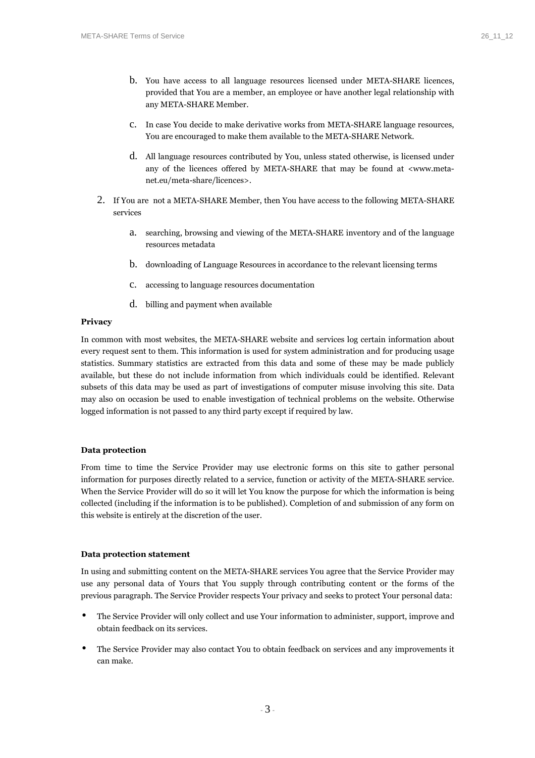- b. You have access to all language resources licensed under META-SHARE licences, provided that You are a member, an employee or have another legal relationship with any META-SHARE Member.
- c. In case You decide to make derivative works from META-SHARE language resources, You are encouraged to make them available to the META-SHARE Network.
- d. All language resources contributed by You, unless stated otherwise, is licensed under any of the licences offered by META-SHARE that may be found at <www.metanet.eu/meta-share/licences>.
- 2. If You are not a META-SHARE Member, then You have access to the following META-SHARE services
	- a. searching, browsing and viewing of the META-SHARE inventory and of the language resources metadata
	- b. downloading of Language Resources in accordance to the relevant licensing terms
	- c. accessing to language resources documentation
	- d. billing and payment when available

## **Privacy**

In common with most websites, the META-SHARE website and services log certain information about every request sent to them. This information is used for system administration and for producing usage statistics. Summary statistics are extracted from this data and some of these may be made publicly available, but these do not include information from which individuals could be identified. Relevant subsets of this data may be used as part of investigations of computer misuse involving this site. Data may also on occasion be used to enable investigation of technical problems on the website. Otherwise logged information is not passed to any third party except if required by law.

#### **Data protection**

From time to time the Service Provider may use electronic forms on this site to gather personal information for purposes directly related to a service, function or activity of the META-SHARE service. When the Service Provider will do so it will let You know the purpose for which the information is being collected (including if the information is to be published). Completion of and submission of any form on this website is entirely at the discretion of the user.

#### **Data protection statement**

In using and submitting content on the META-SHARE services You agree that the Service Provider may use any personal data of Yours that You supply through contributing content or the forms of the previous paragraph. The Service Provider respects Your privacy and seeks to protect Your personal data:

- The Service Provider will only collect and use Your information to administer, support, improve and obtain feedback on its services.
- The Service Provider may also contact You to obtain feedback on services and any improvements it can make.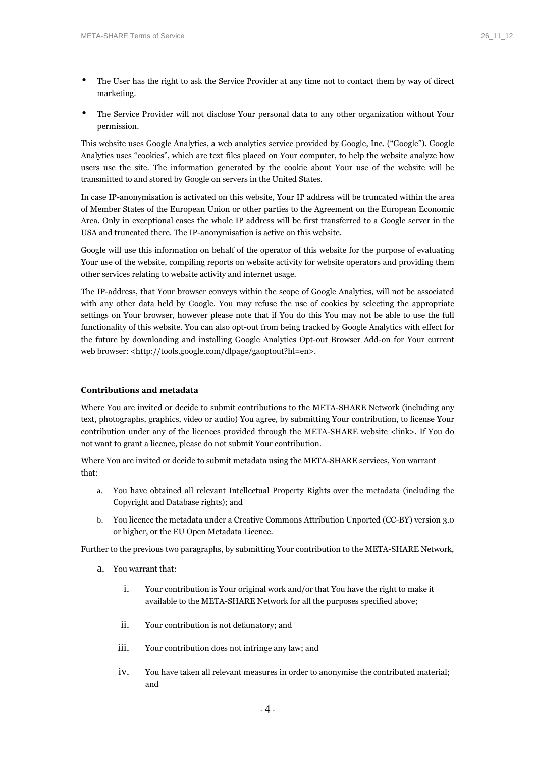- The User has the right to ask the Service Provider at any time not to contact them by way of direct marketing.
- The Service Provider will not disclose Your personal data to any other organization without Your permission.

This website uses Google Analytics, a web analytics service provided by Google, Inc. ("Google"). Google Analytics uses "cookies", which are text files placed on Your computer, to help the website analyze how users use the site. The information generated by the cookie about Your use of the website will be transmitted to and stored by Google on servers in the United States.

In case IP-anonymisation is activated on this website, Your IP address will be truncated within the area of Member States of the European Union or other parties to the Agreement on the European Economic Area. Only in exceptional cases the whole IP address will be first transferred to a Google server in the USA and truncated there. The IP-anonymisation is active on this website.

Google will use this information on behalf of the operator of this website for the purpose of evaluating Your use of the website, compiling reports on website activity for website operators and providing them other services relating to website activity and internet usage.

The IP-address, that Your browser conveys within the scope of Google Analytics, will not be associated with any other data held by Google. You may refuse the use of cookies by selecting the appropriate settings on Your browser, however please note that if You do this You may not be able to use the full functionality of this website. You can also opt-out from being tracked by Google Analytics with effect for the future by downloading and installing Google Analytics Opt-out Browser Add-on for Your current web browser: <http://tools.google.com/dlpage/gaoptout?hl=en>.

## **Contributions and metadata**

Where You are invited or decide to submit contributions to the META-SHARE Network (including any text, photographs, graphics, video or audio) You agree, by submitting Your contribution, to license Your contribution under any of the licences provided through the META-SHARE website <link>. If You do not want to grant a licence, please do not submit Your contribution.

Where You are invited or decide to submit metadata using the META-SHARE services, You warrant that:

- a. You have obtained all relevant Intellectual Property Rights over the metadata (including the Copyright and Database rights); and
- b. You licence the metadata under a Creative Commons Attribution Unported (CC-BY) version 3.0 or higher, or the EU Open Metadata Licence.

Further to the previous two paragraphs, by submitting Your contribution to the META-SHARE Network,

- a. You warrant that:
	- i. Your contribution is Your original work and/or that You have the right to make it available to the META-SHARE Network for all the purposes specified above;
	- ii. Your contribution is not defamatory; and
	- iii. Your contribution does not infringe any law; and
	- iv. You have taken all relevant measures in order to anonymise the contributed material; and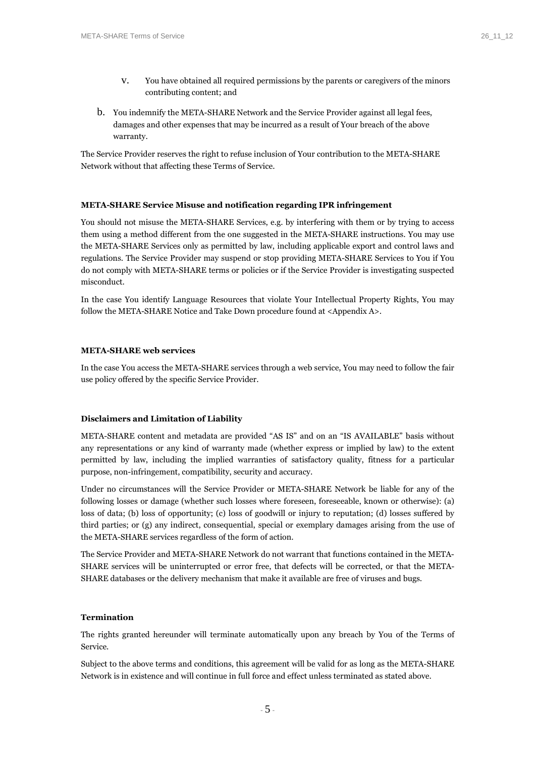- v. You have obtained all required permissions by the parents or caregivers of the minors contributing content; and
- b. You indemnify the META-SHARE Network and the Service Provider against all legal fees, damages and other expenses that may be incurred as a result of Your breach of the above warranty.

The Service Provider reserves the right to refuse inclusion of Your contribution to the META-SHARE Network without that affecting these Terms of Service.

## **META-SHARE Service Misuse and notification regarding IPR infringement**

You should not misuse the META-SHARE Services, e.g. by interfering with them or by trying to access them using a method different from the one suggested in the META-SHARE instructions. You may use the META-SHARE Services only as permitted by law, including applicable export and control laws and regulations. The Service Provider may suspend or stop providing META-SHARE Services to You if You do not comply with META-SHARE terms or policies or if the Service Provider is investigating suspected misconduct.

In the case You identify Language Resources that violate Your Intellectual Property Rights, You may follow the META-SHARE Notice and Take Down procedure found at <Appendix A>.

## **META-SHARE web services**

In the case You access the META-SHARE services through a web service, You may need to follow the fair use policy offered by the specific Service Provider.

#### **Disclaimers and Limitation of Liability**

META-SHARE content and metadata are provided "AS IS" and on an "IS AVAILABLE" basis without any representations or any kind of warranty made (whether express or implied by law) to the extent permitted by law, including the implied warranties of satisfactory quality, fitness for a particular purpose, non-infringement, compatibility, security and accuracy.

Under no circumstances will the Service Provider or META-SHARE Network be liable for any of the following losses or damage (whether such losses where foreseen, foreseeable, known or otherwise): (a) loss of data; (b) loss of opportunity; (c) loss of goodwill or injury to reputation; (d) losses suffered by third parties; or (g) any indirect, consequential, special or exemplary damages arising from the use of the META-SHARE services regardless of the form of action.

The Service Provider and META-SHARE Network do not warrant that functions contained in the META-SHARE services will be uninterrupted or error free, that defects will be corrected, or that the META-SHARE databases or the delivery mechanism that make it available are free of viruses and bugs.

## **Termination**

The rights granted hereunder will terminate automatically upon any breach by You of the Terms of Service.

Subject to the above terms and conditions, this agreement will be valid for as long as the META-SHARE Network is in existence and will continue in full force and effect unless terminated as stated above.